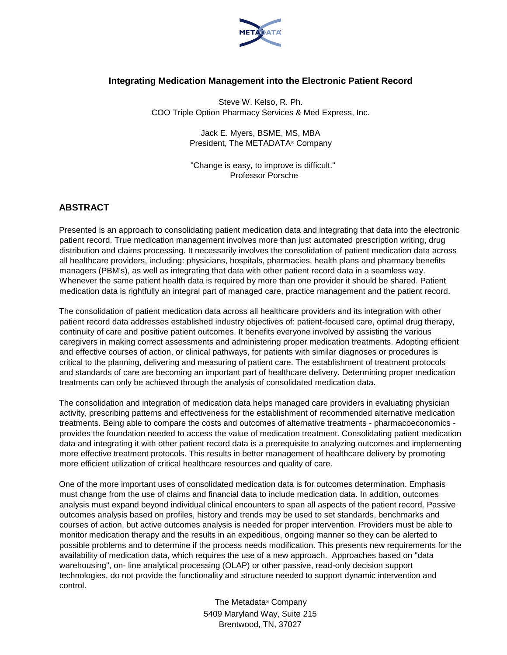

## **Integrating Medication Management into the Electronic Patient Record**

Steve W. Kelso, R. Ph. COO Triple Option Pharmacy Services & Med Express, Inc.

> Jack E. Myers, BSME, MS, MBA President, The METADATA® Company

"Change is easy, to improve is difficult." Professor Porsche

## **ABSTRACT**

Presented is an approach to consolidating patient medication data and integrating that data into the electronic patient record. True medication management involves more than just automated prescription writing, drug distribution and claims processing. It necessarily involves the consolidation of patient medication data across all healthcare providers, including: physicians, hospitals, pharmacies, health plans and pharmacy benefits managers (PBM's), as well as integrating that data with other patient record data in a seamless way. Whenever the same patient health data is required by more than one provider it should be shared. Patient medication data is rightfully an integral part of managed care, practice management and the patient record.

The consolidation of patient medication data across all healthcare providers and its integration with other patient record data addresses established industry objectives of: patient-focused care, optimal drug therapy, continuity of care and positive patient outcomes. It benefits everyone involved by assisting the various caregivers in making correct assessments and administering proper medication treatments. Adopting efficient and effective courses of action, or clinical pathways, for patients with similar diagnoses or procedures is critical to the planning, delivering and measuring of patient care. The establishment of treatment protocols and standards of care are becoming an important part of healthcare delivery. Determining proper medication treatments can only be achieved through the analysis of consolidated medication data.

The consolidation and integration of medication data helps managed care providers in evaluating physician activity, prescribing patterns and effectiveness for the establishment of recommended alternative medication treatments. Being able to compare the costs and outcomes of alternative treatments - pharmacoeconomics provides the foundation needed to access the value of medication treatment. Consolidating patient medication data and integrating it with other patient record data is a prerequisite to analyzing outcomes and implementing more effective treatment protocols. This results in better management of healthcare delivery by promoting more efficient utilization of critical healthcare resources and quality of care.

One of the more important uses of consolidated medication data is for outcomes determination. Emphasis must change from the use of claims and financial data to include medication data. In addition, outcomes analysis must expand beyond individual clinical encounters to span all aspects of the patient record. Passive outcomes analysis based on profiles, history and trends may be used to set standards, benchmarks and courses of action, but active outcomes analysis is needed for proper intervention. Providers must be able to monitor medication therapy and the results in an expeditious, ongoing manner so they can be alerted to possible problems and to determine if the process needs modification. This presents new requirements for the availability of medication data, which requires the use of a new approach. Approaches based on "data warehousing", on- line analytical processing (OLAP) or other passive, read-only decision support technologies, do not provide the functionality and structure needed to support dynamic intervention and control.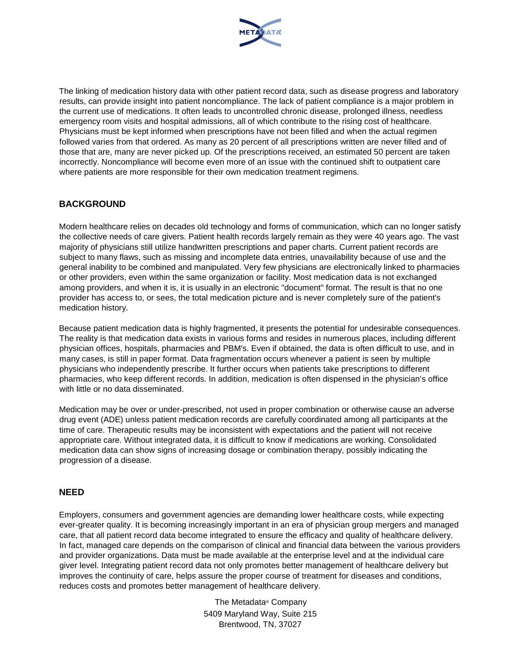

The linking of medication history data with other patient record data, such as disease progress and laboratory results, can provide insight into patient noncompliance. The lack of patient compliance is a major problem in the current use of medications. It often leads to uncontrolled chronic disease, prolonged illness, needless emergency room visits and hospital admissions, all of which contribute to the rising cost of healthcare. Physicians must be kept informed when prescriptions have not been filled and when the actual regimen followed varies from that ordered. As many as 20 percent of all prescriptions written are never filled and of those that are, many are never picked up. Of the prescriptions received, an estimated 50 percent are taken incorrectly. Noncompliance will become even more of an issue with the continued shift to outpatient care where patients are more responsible for their own medication treatment regimens.

## **BACKGROUND**

Modern healthcare relies on decades old technology and forms of communication, which can no longer satisfy the collective needs of care givers. Patient health records largely remain as they were 40 years ago. The vast majority of physicians still utilize handwritten prescriptions and paper charts. Current patient records are subject to many flaws, such as missing and incomplete data entries, unavailability because of use and the general inability to be combined and manipulated. Very few physicians are electronically linked to pharmacies or other providers, even within the same organization or facility. Most medication data is not exchanged among providers, and when it is, it is usually in an electronic "document" format. The result is that no one provider has access to, or sees, the total medication picture and is never completely sure of the patient's medication history.

Because patient medication data is highly fragmented, it presents the potential for undesirable consequences. The reality is that medication data exists in various forms and resides in numerous places, including different physician offices, hospitals, pharmacies and PBM's. Even if obtained, the data is often difficult to use, and in many cases, is still in paper format. Data fragmentation occurs whenever a patient is seen by multiple physicians who independently prescribe. It further occurs when patients take prescriptions to different pharmacies, who keep different records. In addition, medication is often dispensed in the physician's office with little or no data disseminated.

Medication may be over or under-prescribed, not used in proper combination or otherwise cause an adverse drug event (ADE) unless patient medication records are carefully coordinated among all participants at the time of care. Therapeutic results may be inconsistent with expectations and the patient will not receive appropriate care. Without integrated data, it is difficult to know if medications are working. Consolidated medication data can show signs of increasing dosage or combination therapy, possibly indicating the progression of a disease.

#### **NEED**

Employers, consumers and government agencies are demanding lower healthcare costs, while expecting ever-greater quality. It is becoming increasingly important in an era of physician group mergers and managed care, that all patient record data become integrated to ensure the efficacy and quality of healthcare delivery. In fact, managed care depends on the comparison of clinical and financial data between the various providers and provider organizations. Data must be made available at the enterprise level and at the individual care giver level. Integrating patient record data not only promotes better management of healthcare delivery but improves the continuity of care, helps assure the proper course of treatment for diseases and conditions, reduces costs and promotes better management of healthcare delivery.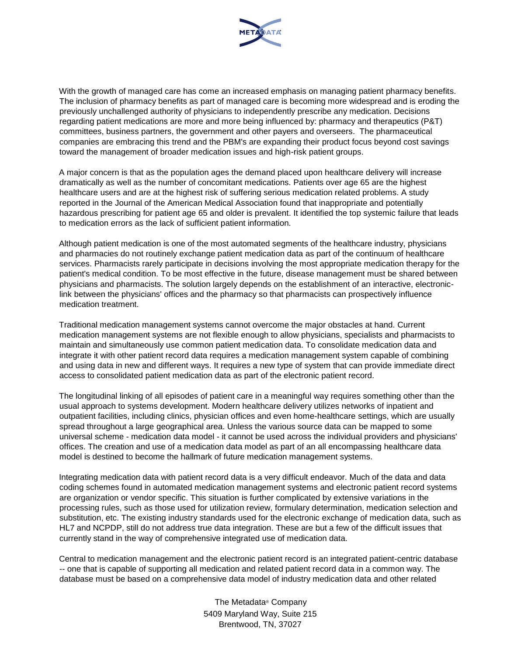

With the growth of managed care has come an increased emphasis on managing patient pharmacy benefits. The inclusion of pharmacy benefits as part of managed care is becoming more widespread and is eroding the previously unchallenged authority of physicians to independently prescribe any medication. Decisions regarding patient medications are more and more being influenced by: pharmacy and therapeutics (P&T) committees, business partners, the government and other payers and overseers. The pharmaceutical companies are embracing this trend and the PBM's are expanding their product focus beyond cost savings toward the management of broader medication issues and high-risk patient groups.

A major concern is that as the population ages the demand placed upon healthcare delivery will increase dramatically as well as the number of concomitant medications. Patients over age 65 are the highest healthcare users and are at the highest risk of suffering serious medication related problems. A study reported in the Journal of the American Medical Association found that inappropriate and potentially hazardous prescribing for patient age 65 and older is prevalent. It identified the top systemic failure that leads to medication errors as the lack of sufficient patient information.

Although patient medication is one of the most automated segments of the healthcare industry, physicians and pharmacies do not routinely exchange patient medication data as part of the continuum of healthcare services. Pharmacists rarely participate in decisions involving the most appropriate medication therapy for the patient's medical condition. To be most effective in the future, disease management must be shared between physicians and pharmacists. The solution largely depends on the establishment of an interactive, electroniclink between the physicians' offices and the pharmacy so that pharmacists can prospectively influence medication treatment.

Traditional medication management systems cannot overcome the major obstacles at hand. Current medication management systems are not flexible enough to allow physicians, specialists and pharmacists to maintain and simultaneously use common patient medication data. To consolidate medication data and integrate it with other patient record data requires a medication management system capable of combining and using data in new and different ways. It requires a new type of system that can provide immediate direct access to consolidated patient medication data as part of the electronic patient record.

The longitudinal linking of all episodes of patient care in a meaningful way requires something other than the usual approach to systems development. Modern healthcare delivery utilizes networks of inpatient and outpatient facilities, including clinics, physician offices and even home-healthcare settings, which are usually spread throughout a large geographical area. Unless the various source data can be mapped to some universal scheme - medication data model - it cannot be used across the individual providers and physicians' offices. The creation and use of a medication data model as part of an all encompassing healthcare data model is destined to become the hallmark of future medication management systems.

Integrating medication data with patient record data is a very difficult endeavor. Much of the data and data coding schemes found in automated medication management systems and electronic patient record systems are organization or vendor specific. This situation is further complicated by extensive variations in the processing rules, such as those used for utilization review, formulary determination, medication selection and substitution, etc. The existing industry standards used for the electronic exchange of medication data, such as HL7 and NCPDP, still do not address true data integration. These are but a few of the difficult issues that currently stand in the way of comprehensive integrated use of medication data.

Central to medication management and the electronic patient record is an integrated patient-centric database -- one that is capable of supporting all medication and related patient record data in a common way. The database must be based on a comprehensive data model of industry medication data and other related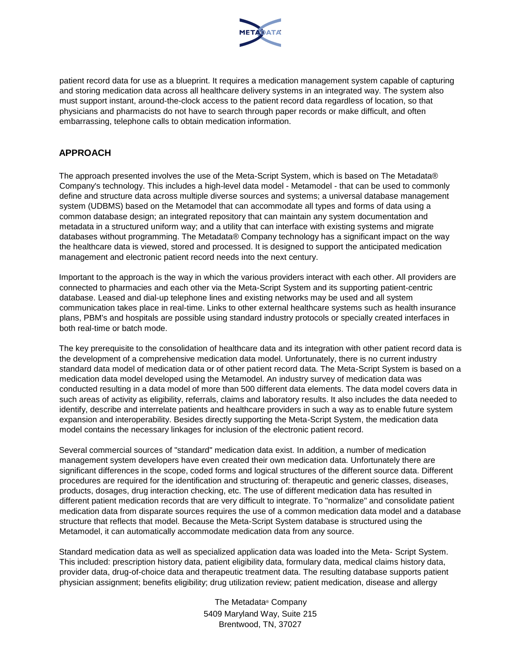

patient record data for use as a blueprint. It requires a medication management system capable of capturing and storing medication data across all healthcare delivery systems in an integrated way. The system also must support instant, around-the-clock access to the patient record data regardless of location, so that physicians and pharmacists do not have to search through paper records or make difficult, and often embarrassing, telephone calls to obtain medication information.

## **APPROACH**

The approach presented involves the use of the Meta-Script System, which is based on The Metadata® Company's technology. This includes a high-level data model - Metamodel - that can be used to commonly define and structure data across multiple diverse sources and systems; a universal database management system (UDBMS) based on the Metamodel that can accommodate all types and forms of data using a common database design; an integrated repository that can maintain any system documentation and metadata in a structured uniform way; and a utility that can interface with existing systems and migrate databases without programming. The Metadata® Company technology has a significant impact on the way the healthcare data is viewed, stored and processed. It is designed to support the anticipated medication management and electronic patient record needs into the next century.

Important to the approach is the way in which the various providers interact with each other. All providers are connected to pharmacies and each other via the Meta-Script System and its supporting patient-centric database. Leased and dial-up telephone lines and existing networks may be used and all system communication takes place in real-time. Links to other external healthcare systems such as health insurance plans, PBM's and hospitals are possible using standard industry protocols or specially created interfaces in both real-time or batch mode.

The key prerequisite to the consolidation of healthcare data and its integration with other patient record data is the development of a comprehensive medication data model. Unfortunately, there is no current industry standard data model of medication data or of other patient record data. The Meta-Script System is based on a medication data model developed using the Metamodel. An industry survey of medication data was conducted resulting in a data model of more than 500 different data elements. The data model covers data in such areas of activity as eligibility, referrals, claims and laboratory results. It also includes the data needed to identify, describe and interrelate patients and healthcare providers in such a way as to enable future system expansion and interoperability. Besides directly supporting the Meta-Script System, the medication data model contains the necessary linkages for inclusion of the electronic patient record.

Several commercial sources of "standard" medication data exist. In addition, a number of medication management system developers have even created their own medication data. Unfortunately there are significant differences in the scope, coded forms and logical structures of the different source data. Different procedures are required for the identification and structuring of: therapeutic and generic classes, diseases, products, dosages, drug interaction checking, etc. The use of different medication data has resulted in different patient medication records that are very difficult to integrate. To "normalize" and consolidate patient medication data from disparate sources requires the use of a common medication data model and a database structure that reflects that model. Because the Meta-Script System database is structured using the Metamodel, it can automatically accommodate medication data from any source.

Standard medication data as well as specialized application data was loaded into the Meta- Script System. This included: prescription history data, patient eligibility data, formulary data, medical claims history data, provider data, drug-of-choice data and therapeutic treatment data. The resulting database supports patient physician assignment; benefits eligibility; drug utilization review; patient medication, disease and allergy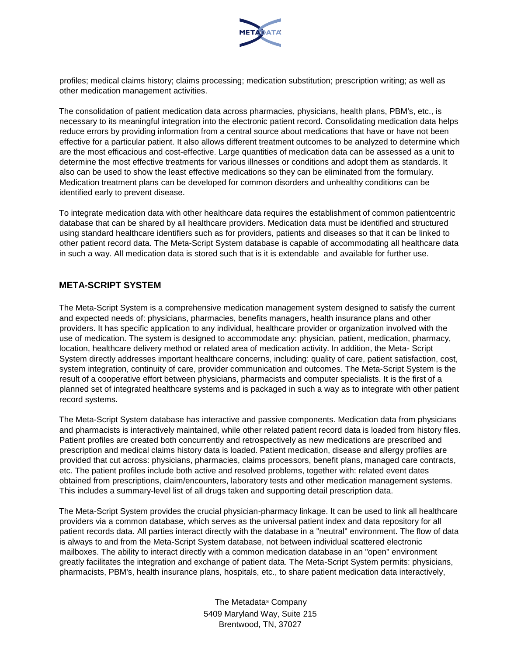

profiles; medical claims history; claims processing; medication substitution; prescription writing; as well as other medication management activities.

The consolidation of patient medication data across pharmacies, physicians, health plans, PBM's, etc., is necessary to its meaningful integration into the electronic patient record. Consolidating medication data helps reduce errors by providing information from a central source about medications that have or have not been effective for a particular patient. It also allows different treatment outcomes to be analyzed to determine which are the most efficacious and cost-effective. Large quantities of medication data can be assessed as a unit to determine the most effective treatments for various illnesses or conditions and adopt them as standards. It also can be used to show the least effective medications so they can be eliminated from the formulary. Medication treatment plans can be developed for common disorders and unhealthy conditions can be identified early to prevent disease.

To integrate medication data with other healthcare data requires the establishment of common patientcentric database that can be shared by all healthcare providers. Medication data must be identified and structured using standard healthcare identifiers such as for providers, patients and diseases so that it can be linked to other patient record data. The Meta-Script System database is capable of accommodating all healthcare data in such a way. All medication data is stored such that is it is extendable and available for further use.

## **META-SCRIPT SYSTEM**

The Meta-Script System is a comprehensive medication management system designed to satisfy the current and expected needs of: physicians, pharmacies, benefits managers, health insurance plans and other providers. It has specific application to any individual, healthcare provider or organization involved with the use of medication. The system is designed to accommodate any: physician, patient, medication, pharmacy, location, healthcare delivery method or related area of medication activity. In addition, the Meta- Script System directly addresses important healthcare concerns, including: quality of care, patient satisfaction, cost, system integration, continuity of care, provider communication and outcomes. The Meta-Script System is the result of a cooperative effort between physicians, pharmacists and computer specialists. It is the first of a planned set of integrated healthcare systems and is packaged in such a way as to integrate with other patient record systems.

The Meta-Script System database has interactive and passive components. Medication data from physicians and pharmacists is interactively maintained, while other related patient record data is loaded from history files. Patient profiles are created both concurrently and retrospectively as new medications are prescribed and prescription and medical claims history data is loaded. Patient medication, disease and allergy profiles are provided that cut across: physicians, pharmacies, claims processors, benefit plans, managed care contracts, etc. The patient profiles include both active and resolved problems, together with: related event dates obtained from prescriptions, claim/encounters, laboratory tests and other medication management systems. This includes a summary-level list of all drugs taken and supporting detail prescription data.

The Meta-Script System provides the crucial physician-pharmacy linkage. It can be used to link all healthcare providers via a common database, which serves as the universal patient index and data repository for all patient records data. All parties interact directly with the database in a "neutral" environment. The flow of data is always to and from the Meta-Script System database, not between individual scattered electronic mailboxes. The ability to interact directly with a common medication database in an "open" environment greatly facilitates the integration and exchange of patient data. The Meta-Script System permits: physicians, pharmacists, PBM's, health insurance plans, hospitals, etc., to share patient medication data interactively,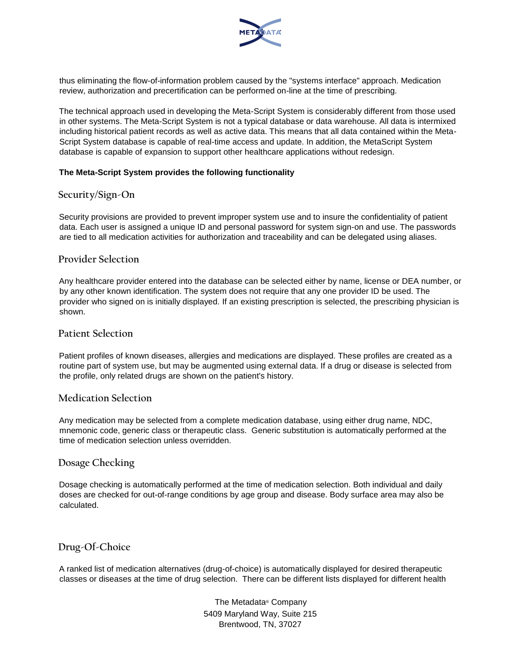

thus eliminating the flow-of-information problem caused by the "systems interface" approach. Medication review, authorization and precertification can be performed on-line at the time of prescribing.

The technical approach used in developing the Meta-Script System is considerably different from those used in other systems. The Meta-Script System is not a typical database or data warehouse. All data is intermixed including historical patient records as well as active data. This means that all data contained within the Meta-Script System database is capable of real-time access and update. In addition, the MetaScript System database is capable of expansion to support other healthcare applications without redesign.

#### **The Meta-Script System provides the following functionality**

#### **Security/Sign-On**

Security provisions are provided to prevent improper system use and to insure the confidentiality of patient data. Each user is assigned a unique ID and personal password for system sign-on and use. The passwords are tied to all medication activities for authorization and traceability and can be delegated using aliases.

### **Provider Selection**

Any healthcare provider entered into the database can be selected either by name, license or DEA number, or by any other known identification. The system does not require that any one provider ID be used. The provider who signed on is initially displayed. If an existing prescription is selected, the prescribing physician is shown.

### **Patient Selection**

Patient profiles of known diseases, allergies and medications are displayed. These profiles are created as a routine part of system use, but may be augmented using external data. If a drug or disease is selected from the profile, only related drugs are shown on the patient's history.

#### **Medication Selection**

Any medication may be selected from a complete medication database, using either drug name, NDC, mnemonic code, generic class or therapeutic class. Generic substitution is automatically performed at the time of medication selection unless overridden.

## **Dosage Checking**

Dosage checking is automatically performed at the time of medication selection. Both individual and daily doses are checked for out-of-range conditions by age group and disease. Body surface area may also be calculated.

## **Drug-Of-Choice**

A ranked list of medication alternatives (drug-of-choice) is automatically displayed for desired therapeutic classes or diseases at the time of drug selection. There can be different lists displayed for different health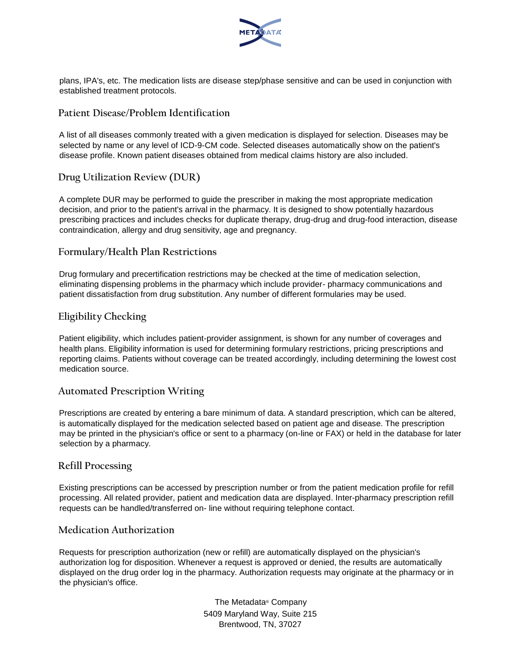

plans, IPA's, etc. The medication lists are disease step/phase sensitive and can be used in conjunction with established treatment protocols.

## **Patient Disease/Problem Identification**

A list of all diseases commonly treated with a given medication is displayed for selection. Diseases may be selected by name or any level of ICD-9-CM code. Selected diseases automatically show on the patient's disease profile. Known patient diseases obtained from medical claims history are also included.

## **Drug Utilization Review (DUR)**

A complete DUR may be performed to guide the prescriber in making the most appropriate medication decision, and prior to the patient's arrival in the pharmacy. It is designed to show potentially hazardous prescribing practices and includes checks for duplicate therapy, drug-drug and drug-food interaction, disease contraindication, allergy and drug sensitivity, age and pregnancy.

### **Formulary/Health Plan Restrictions**

Drug formulary and precertification restrictions may be checked at the time of medication selection, eliminating dispensing problems in the pharmacy which include provider- pharmacy communications and patient dissatisfaction from drug substitution. Any number of different formularies may be used.

## **Eligibility Checking**

Patient eligibility, which includes patient-provider assignment, is shown for any number of coverages and health plans. Eligibility information is used for determining formulary restrictions, pricing prescriptions and reporting claims. Patients without coverage can be treated accordingly, including determining the lowest cost medication source.

## **Automated Prescription Writing**

Prescriptions are created by entering a bare minimum of data. A standard prescription, which can be altered, is automatically displayed for the medication selected based on patient age and disease. The prescription may be printed in the physician's office or sent to a pharmacy (on-line or FAX) or held in the database for later selection by a pharmacy.

## **Refill Processing**

Existing prescriptions can be accessed by prescription number or from the patient medication profile for refill processing. All related provider, patient and medication data are displayed. Inter-pharmacy prescription refill requests can be handled/transferred on- line without requiring telephone contact.

## **Medication Authorization**

Requests for prescription authorization (new or refill) are automatically displayed on the physician's authorization log for disposition. Whenever a request is approved or denied, the results are automatically displayed on the drug order log in the pharmacy. Authorization requests may originate at the pharmacy or in the physician's office.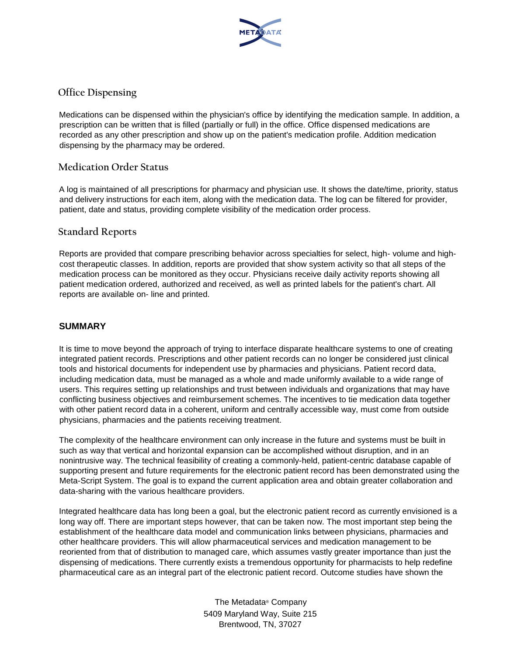

# **Office Dispensing**

Medications can be dispensed within the physician's office by identifying the medication sample. In addition, a prescription can be written that is filled (partially or full) in the office. Office dispensed medications are recorded as any other prescription and show up on the patient's medication profile. Addition medication dispensing by the pharmacy may be ordered.

### **Medication Order Status**

A log is maintained of all prescriptions for pharmacy and physician use. It shows the date/time, priority, status and delivery instructions for each item, along with the medication data. The log can be filtered for provider, patient, date and status, providing complete visibility of the medication order process.

### **Standard Reports**

Reports are provided that compare prescribing behavior across specialties for select, high- volume and highcost therapeutic classes. In addition, reports are provided that show system activity so that all steps of the medication process can be monitored as they occur. Physicians receive daily activity reports showing all patient medication ordered, authorized and received, as well as printed labels for the patient's chart. All reports are available on- line and printed.

### **SUMMARY**

It is time to move beyond the approach of trying to interface disparate healthcare systems to one of creating integrated patient records. Prescriptions and other patient records can no longer be considered just clinical tools and historical documents for independent use by pharmacies and physicians. Patient record data, including medication data, must be managed as a whole and made uniformly available to a wide range of users. This requires setting up relationships and trust between individuals and organizations that may have conflicting business objectives and reimbursement schemes. The incentives to tie medication data together with other patient record data in a coherent, uniform and centrally accessible way, must come from outside physicians, pharmacies and the patients receiving treatment.

The complexity of the healthcare environment can only increase in the future and systems must be built in such as way that vertical and horizontal expansion can be accomplished without disruption, and in an nonintrusive way. The technical feasibility of creating a commonly-held, patient-centric database capable of supporting present and future requirements for the electronic patient record has been demonstrated using the Meta-Script System. The goal is to expand the current application area and obtain greater collaboration and data-sharing with the various healthcare providers.

Integrated healthcare data has long been a goal, but the electronic patient record as currently envisioned is a long way off. There are important steps however, that can be taken now. The most important step being the establishment of the healthcare data model and communication links between physicians, pharmacies and other healthcare providers. This will allow pharmaceutical services and medication management to be reoriented from that of distribution to managed care, which assumes vastly greater importance than just the dispensing of medications. There currently exists a tremendous opportunity for pharmacists to help redefine pharmaceutical care as an integral part of the electronic patient record. Outcome studies have shown the